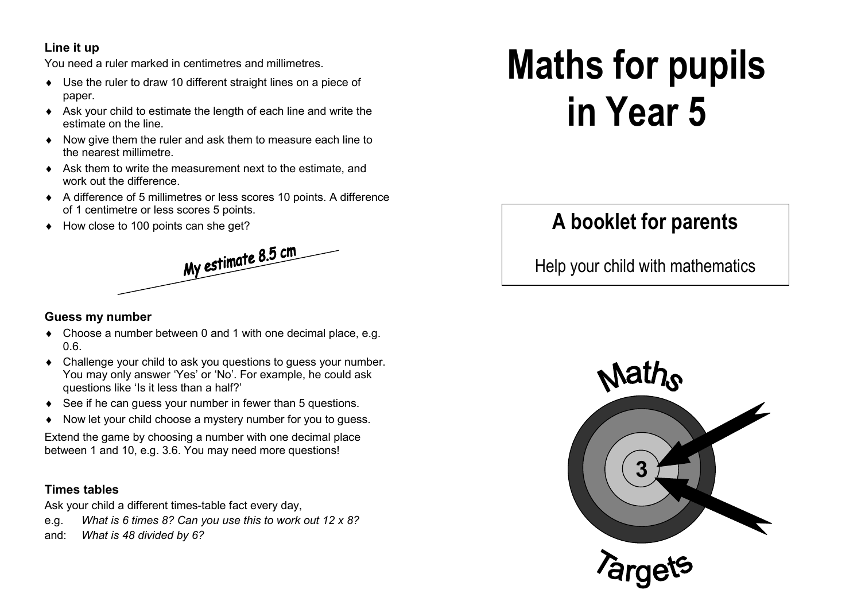### **Line it up**

You need a ruler marked in centimetres and millimetres.

- ♦ Use the ruler to draw 10 different straight lines on a piece of paper.
- ♦ Ask your child to estimate the length of each line and write the estimate on the line.
- ♦ Now give them the ruler and ask them to measure each line to the nearest millimetre.
- ♦ Ask them to write the measurement next to the estimate, and work out the difference.
- ♦ A difference of 5 millimetres or less scores 10 points. A difference of 1 centimetre or less scores 5 points.
- ♦ How close to 100 points can she get?



#### **Guess my number**

- ♦ Choose a number between 0 and 1 with one decimal place, e.g. 0.6.
- ♦ Challenge your child to ask you questions to guess your number. You may only answer 'Yes' or 'No'. For example, he could ask questions like 'Is it less than a half?'
- ♦ See if he can guess your number in fewer than 5 questions.
- ♦ Now let your child choose a mystery number for you to guess.

Extend the game by choosing a number with one decimal place between 1 and 10, e.g. 3.6. You may need more questions!

#### **Times tables**

Ask your child a different times-table fact every day,

- e.g. *What is 6 times 8? Can you use this to work out 12 x 8?*
- and: *What is 48 divided by 6?*

# **Maths for pupils in Year 5**

# **A booklet for parents**

Help your child with mathematics